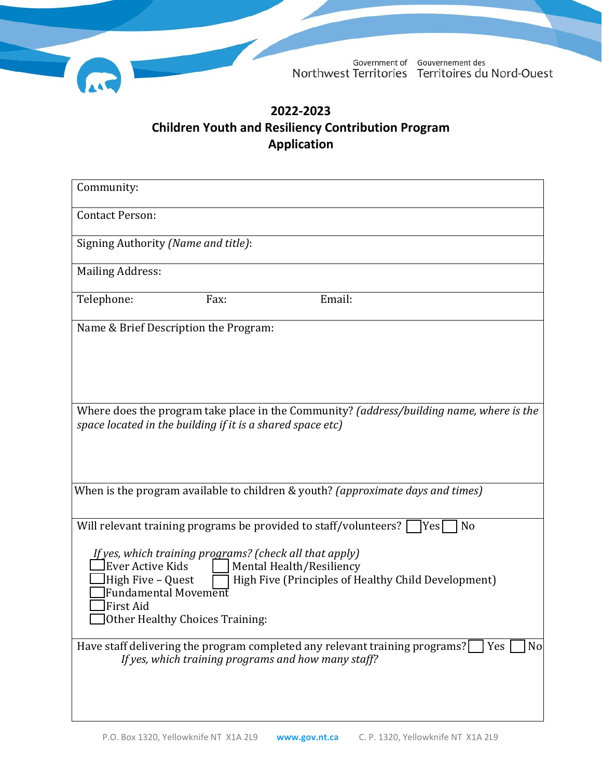

# **2022-2023 Children Youth and Resiliency Contribution Program Application**

| Community:                                                                                                                                                                                                                                                         |
|--------------------------------------------------------------------------------------------------------------------------------------------------------------------------------------------------------------------------------------------------------------------|
| <b>Contact Person:</b>                                                                                                                                                                                                                                             |
| Signing Authority (Name and title):                                                                                                                                                                                                                                |
| <b>Mailing Address:</b>                                                                                                                                                                                                                                            |
| Email:<br>Telephone:<br>Fax:                                                                                                                                                                                                                                       |
| Name & Brief Description the Program:                                                                                                                                                                                                                              |
|                                                                                                                                                                                                                                                                    |
|                                                                                                                                                                                                                                                                    |
| Where does the program take place in the Community? (address/building name, where is the<br>space located in the building if it is a shared space etc)                                                                                                             |
| When is the program available to children & youth? (approximate days and times)                                                                                                                                                                                    |
| Will relevant training programs be provided to staff/volunteers?<br>Yes<br>N <sub>o</sub>                                                                                                                                                                          |
| If yes, which training programs? (check all that apply)<br>Ever Active Kids<br>Mental Health/Resiliency<br>High Five - Quest<br>High Five (Principles of Healthy Child Development)<br>Fundamental Movement<br><b>First Aid</b><br>Other Healthy Choices Training: |
| Have staff delivering the program completed any relevant training programs?<br>No<br>Yes<br>If yes, which training programs and how many staff?                                                                                                                    |
|                                                                                                                                                                                                                                                                    |
|                                                                                                                                                                                                                                                                    |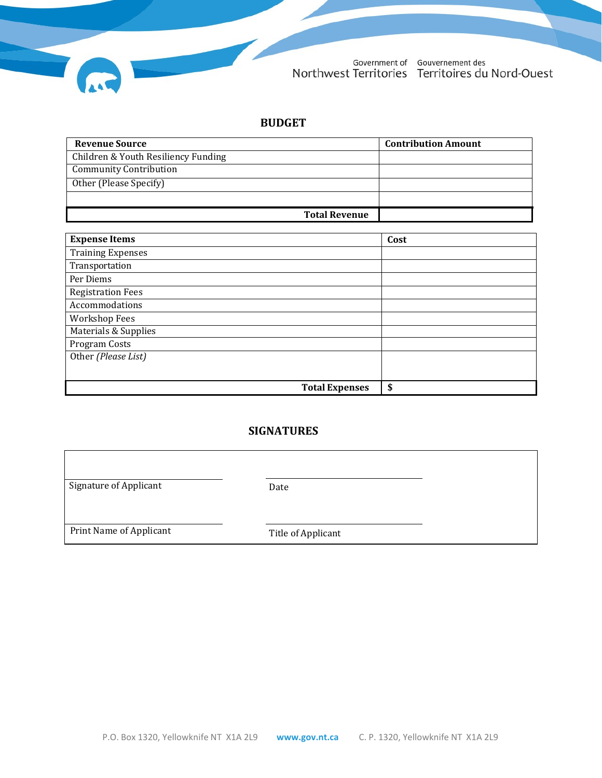

Government of Gouvernement des<br>Northwest Territories Territoires du Nord-Ouest

#### **BUDGET**

| <b>Revenue Source</b>               | <b>Contribution Amount</b> |
|-------------------------------------|----------------------------|
| Children & Youth Resiliency Funding |                            |
| <b>Community Contribution</b>       |                            |
| Other (Please Specify)              |                            |
|                                     |                            |
| <b>Total Revenue</b>                |                            |

| <b>Expense Items</b>     |                       | Cost |
|--------------------------|-----------------------|------|
| <b>Training Expenses</b> |                       |      |
| Transportation           |                       |      |
| Per Diems                |                       |      |
| <b>Registration Fees</b> |                       |      |
| Accommodations           |                       |      |
| <b>Workshop Fees</b>     |                       |      |
| Materials & Supplies     |                       |      |
| Program Costs            |                       |      |
| Other (Please List)      |                       |      |
|                          |                       |      |
|                          | <b>Total Expenses</b> | \$   |

# **SIGNATURES**

| <b>Signature of Applicant</b> | Date               |  |
|-------------------------------|--------------------|--|
|                               |                    |  |
| Print Name of Applicant       | Title of Applicant |  |